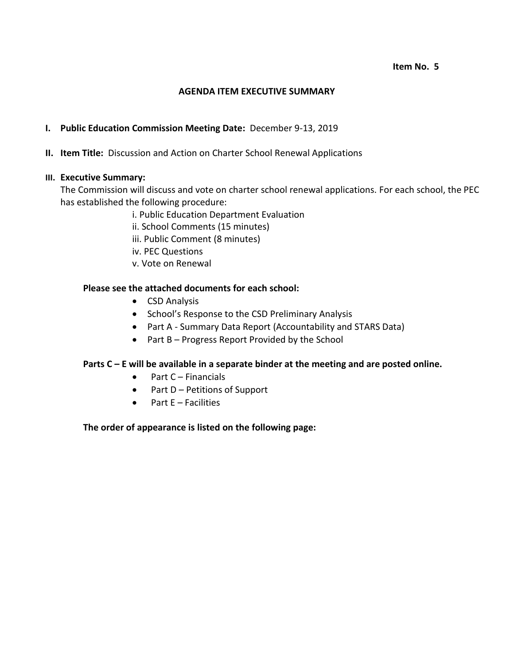#### **Item No. 5**

#### **AGENDA ITEM EXECUTIVE SUMMARY**

### **I. Public Education Commission Meeting Date:** December 9-13, 2019

### **II. Item Title:** Discussion and Action on Charter School Renewal Applications

### **III. Executive Summary:**

The Commission will discuss and vote on charter school renewal applications. For each school, the PEC has established the following procedure:

- i. Public Education Department Evaluation
- ii. School Comments (15 minutes)
- iii. Public Comment (8 minutes)
- iv. PEC Questions
- v. Vote on Renewal

## **Please see the attached documents for each school:**

- CSD Analysis
- School's Response to the CSD Preliminary Analysis
- Part A Summary Data Report (Accountability and STARS Data)
- Part B Progress Report Provided by the School

### **Parts C – E will be available in a separate binder at the meeting and are posted online.**

- $\bullet$  Part C Financials
- $\bullet$  Part D Petitions of Support
- $\bullet$  Part E Facilities

### **The order of appearance is listed on the following page:**